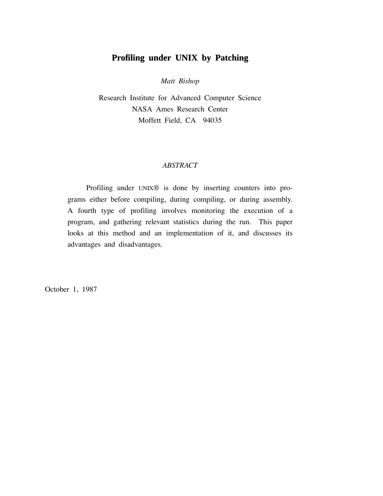# **Profiling under UNIX by Patching**

*Matt Bishop*

Research Institute for Advanced Computer Science NASA Ames Research Center Moffett Field, CA 94035

# *ABSTRACT*

Profiling under UNIX® is done by inserting counters into programs either before compiling, during compiling, or during assembly. A fourth type of profiling involves monitoring the execution of a program, and gathering relevant statistics during the run. This paper looks at this method and an implementation of it, and discusses its advantages and disadvantages.

October 1, 1987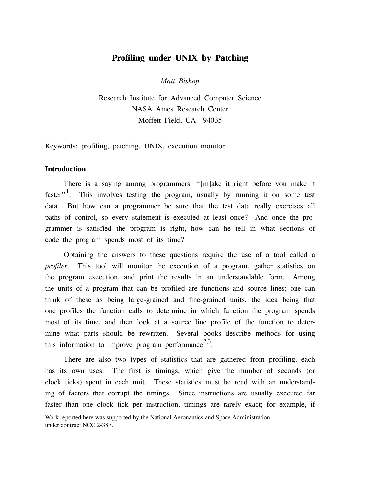# **Profiling under UNIX by Patching**

*Matt Bishop*

Research Institute for Advanced Computer Science NASA Ames Research Center Moffett Field, CA 94035

Keywords: profiling, patching, UNIX, execution monitor

# **Introduction**

There is a saying among programmers, ''[m]ake it right before you make it faster".<sup>1</sup>. This involves testing the program, usually by running it on some test data. But how can a programmer be sure that the test data really exercises all paths of control, so every statement is executed at least once? And once the programmer is satisfied the program is right, how can he tell in what sections of code the program spends most of its time?

Obtaining the answers to these questions require the use of a tool called a *profiler*. This tool will monitor the execution of a program, gather statistics on the program execution, and print the results in an understandable form. Among the units of a program that can be profiled are functions and source lines; one can think of these as being large-grained and fine-grained units, the idea being that one profiles the function calls to determine in which function the program spends most of its time, and then look at a source line profile of the function to determine what parts should be rewritten. Several books describe methods for using this information to improve program performance<sup>2,3</sup>.

There are also two types of statistics that are gathered from profiling; each has its own uses. The first is timings, which give the number of seconds (or clock ticks) spent in each unit. These statistics must be read with an understanding of factors that corrupt the timings. Since instructions are usually executed far faster than one clock tick per instruction, timings are rarely exact; for example, if

Work reported here was supported by the National Aeronautics and Space Administration under contract NCC 2-387.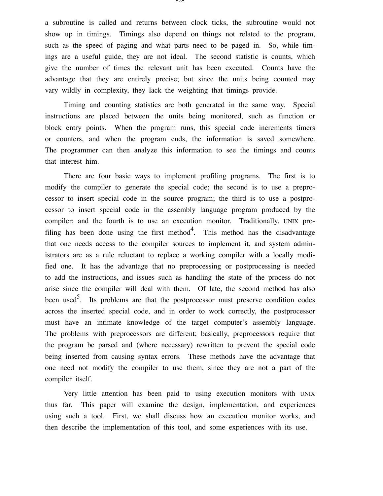a subroutine is called and returns between clock ticks, the subroutine would not show up in timings. Timings also depend on things not related to the program, such as the speed of paging and what parts need to be paged in. So, while timings are a useful guide, they are not ideal. The second statistic is counts, which give the number of times the relevant unit has been executed. Counts have the advantage that they are entirely precise; but since the units being counted may vary wildly in complexity, they lack the weighting that timings provide.

Timing and counting statistics are both generated in the same way. Special instructions are placed between the units being monitored, such as function or block entry points. When the program runs, this special code increments timers or counters, and when the program ends, the information is saved somewhere. The programmer can then analyze this information to see the timings and counts that interest him.

There are four basic ways to implement profiling programs. The first is to modify the compiler to generate the special code; the second is to use a preprocessor to insert special code in the source program; the third is to use a postprocessor to insert special code in the assembly language program produced by the compiler; and the fourth is to use an execution monitor. Traditionally, UNIX profiling has been done using the first method<sup>4</sup>. This method has the disadvantage that one needs access to the compiler sources to implement it, and system administrators are as a rule reluctant to replace a working compiler with a locally modified one. It has the advantage that no preprocessing or postprocessing is needed to add the instructions, and issues such as handling the state of the process do not arise since the compiler will deal with them. Of late, the second method has also been used<sup>5</sup>. Its problems are that the postprocessor must preserve condition codes across the inserted special code, and in order to work correctly, the postprocessor must have an intimate knowledge of the target computer's assembly language. The problems with preprocessors are different; basically, preprocessors require that the program be parsed and (where necessary) rewritten to prevent the special code being inserted from causing syntax errors. These methods have the advantage that one need not modify the compiler to use them, since they are not a part of the compiler itself.

Very little attention has been paid to using execution monitors with UNIX thus far. This paper will examine the design, implementation, and experiences using such a tool. First, we shall discuss how an execution monitor works, and then describe the implementation of this tool, and some experiences with its use.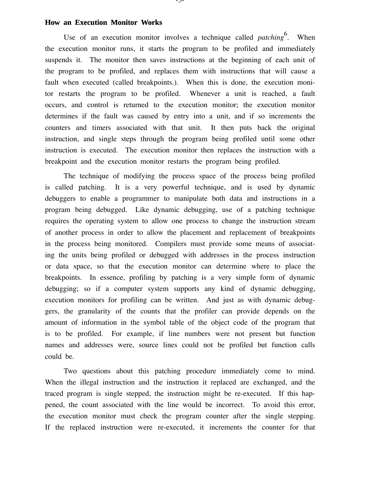#### **How an Execution Monitor Works**

Use of an execution monitor involves a technique called *patching*<sup>6</sup>. When the execution monitor runs, it starts the program to be profiled and immediately suspends it. The monitor then saves instructions at the beginning of each unit of the program to be profiled, and replaces them with instructions that will cause a fault when executed (called breakpoints.). When this is done, the execution monitor restarts the program to be profiled. Whenever a unit is reached, a fault occurs, and control is returned to the execution monitor; the execution monitor determines if the fault was caused by entry into a unit, and if so increments the counters and timers associated with that unit. It then puts back the original instruction, and single steps through the program being profiled until some other instruction is executed. The execution monitor then replaces the instruction with a breakpoint and the execution monitor restarts the program being profiled.

The technique of modifying the process space of the process being profiled is called patching. It is a very powerful technique, and is used by dynamic debuggers to enable a programmer to manipulate both data and instructions in a program being debugged. Like dynamic debugging, use of a patching technique requires the operating system to allow one process to change the instruction stream of another process in order to allow the placement and replacement of breakpoints in the process being monitored. Compilers must provide some means of associating the units being profiled or debugged with addresses in the process instruction or data space, so that the execution monitor can determine where to place the breakpoints. In essence, profiling by patching is a very simple form of dynamic debugging; so if a computer system supports any kind of dynamic debugging, execution monitors for profiling can be written. And just as with dynamic debuggers, the granularity of the counts that the profiler can provide depends on the amount of information in the symbol table of the object code of the program that is to be profiled. For example, if line numbers were not present but function names and addresses were, source lines could not be profiled but function calls could be.

Two questions about this patching procedure immediately come to mind. When the illegal instruction and the instruction it replaced are exchanged, and the traced program is single stepped, the instruction might be re-executed. If this happened, the count associated with the line would be incorrect. To avoid this error, the execution monitor must check the program counter after the single stepping. If the replaced instruction were re-executed, it increments the counter for that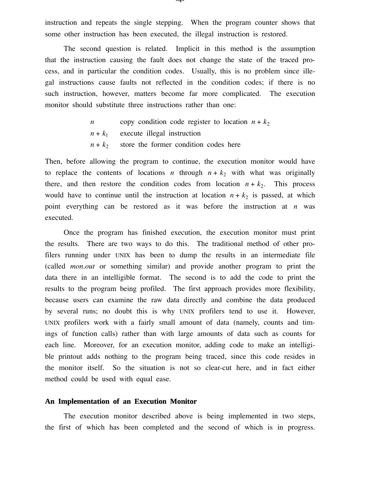instruction and repeats the single stepping. When the program counter shows that some other instruction has been executed, the illegal instruction is restored.

The second question is related. Implicit in this method is the assumption that the instruction causing the fault does not change the state of the traced process, and in particular the condition codes. Usually, this is no problem since illegal instructions cause faults not reflected in the condition codes; if there is no such instruction, however, matters become far more complicated. The execution monitor should substitute three instructions rather than one:

> *n* copy condition code register to location  $n + k_2$  $n + k_1$  execute illegal instruction  $n + k<sub>2</sub>$  store the former condition codes here

Then, before allowing the program to continue, the execution monitor would have to replace the contents of locations *n* through  $n + k_2$  with what was originally there, and then restore the condition codes from location  $n + k_2$ . This process would have to continue until the instruction at location  $n + k_2$  is passed, at which point everything can be restored as it was before the instruction at *n* was executed.

Once the program has finished execution, the execution monitor must print the results. There are two ways to do this. The traditional method of other profilers running under UNIX has been to dump the results in an intermediate file (called *mon.out* or something similar) and provide another program to print the data there in an intelligible format. The second is to add the code to print the results to the program being profiled. The first approach provides more flexibility, because users can examine the raw data directly and combine the data produced by several runs; no doubt this is why UNIX profilers tend to use it. However, UNIX profilers work with a fairly small amount of data (namely, counts and timings of function calls) rather than with large amounts of data such as counts for each line. Moreover, for an execution monitor, adding code to make an intelligible printout adds nothing to the program being traced, since this code resides in the monitor itself. So the situation is not so clear-cut here, and in fact either method could be used with equal ease.

#### **An Implementation of an Execution Monitor**

The execution monitor described above is being implemented in two steps, the first of which has been completed and the second of which is in progress.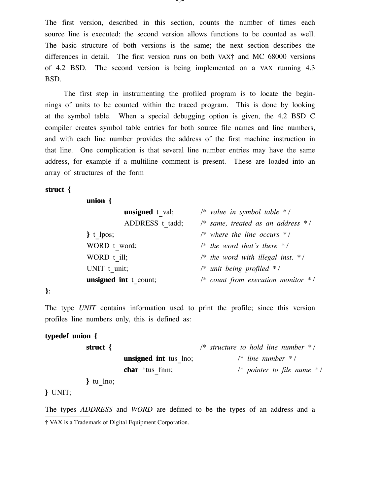The first version, described in this section, counts the number of times each source line is executed; the second version allows functions to be counted as well. The basic structure of both versions is the same; the next section describes the differences in detail. The first version runs on both VAX† and MC 68000 versions of 4.2 BSD. The second version is being implemented on a VAX running 4.3 BSD.

The first step in instrumenting the profiled program is to locate the beginnings of units to be counted within the traced program. This is done by looking at the symbol table. When a special debugging option is given, the 4.2 BSD C compiler creates symbol table entries for both source file names and line numbers, and with each line number provides the address of the first machine instruction in that line. One complication is that several line number entries may have the same address, for example if a multiline comment is present. These are loaded into an array of structures of the form

# **struct {**

**union {**

| <b>unsigned</b> t val; | /* value in symbol table $*$ /                          |
|------------------------|---------------------------------------------------------|
| ADDRESS t tadd;        | $\frac{1}{2}$ same, treated as an address $\frac{1}{2}$ |
| $\}$ t lpos;           | $/*$ where the line occurs $*$ /                        |
| WORD t word;           | $\frac{1}{2}$ the word that's there $\frac{1}{2}$       |
| WORD t ill;            | /* the word with illegal inst. $*$ /                    |
| UNIT t unit;           | $\frac{1}{2}$ unit being profiled */                    |
| unsigned int t count;  | /* count from execution monitor $*$ /                   |
|                        |                                                         |

### **}**;

The type *UNIT* contains information used to print the profile; since this version profiles line numbers only, this is defined as:

### **typedef union {**

| struct $\{$  |                              | $\frac{1}{2}$ structure to hold line number $\frac{1}{2}$ |
|--------------|------------------------------|-----------------------------------------------------------|
|              | <b>unsigned</b> int tus lno; | $\frac{1}{2}$ line number $\frac{1}{2}$ /                 |
|              | <b>char</b> $*$ tus fnm;     | /* pointer to file name $*$ /                             |
| $\}$ tu lno; |                              |                                                           |

# **}** UNIT;

The types *ADDRESS* and *WORD* are defined to be the types of an address and a † VAX is a Trademark of Digital Equipment Corporation.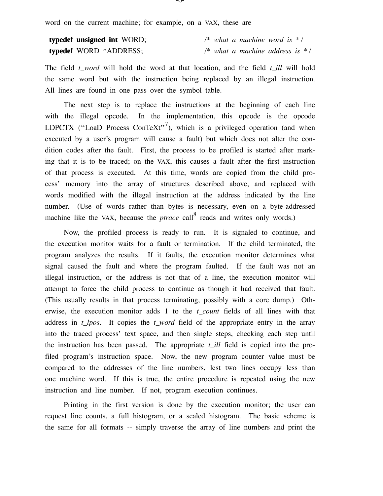word on the current machine; for example, on a VAX, these are

| typedef unsigned int WORD; |  | /* what a machine word is $*/$     |  |  |
|----------------------------|--|------------------------------------|--|--|
| typedef WORD *ADDRESS;     |  | /* what a machine address is $*$ / |  |  |

The field *t\_word* will hold the word at that location, and the field *t\_ill* will hold the same word but with the instruction being replaced by an illegal instruction. All lines are found in one pass over the symbol table.

The next step is to replace the instructions at the beginning of each line with the illegal opcode. In the implementation, this opcode is the opcode LDPCTX ("LoaD Process ConTeXt"<sup>7</sup>), which is a privileged operation (and when executed by a user's program will cause a fault) but which does not alter the condition codes after the fault. First, the process to be profiled is started after marking that it is to be traced; on the VAX, this causes a fault after the first instruction of that process is executed. At this time, words are copied from the child process' memory into the array of structures described above, and replaced with words modified with the illegal instruction at the address indicated by the line number. (Use of words rather than bytes is necessary, even on a byte-addressed machine like the VAX, because the *ptrace* call  $\alpha$  reads and writes only words.)

Now, the profiled process is ready to run. It is signaled to continue, and the execution monitor waits for a fault or termination. If the child terminated, the program analyzes the results. If it faults, the execution monitor determines what signal caused the fault and where the program faulted. If the fault was not an illegal instruction, or the address is not that of a line, the execution monitor will attempt to force the child process to continue as though it had received that fault. (This usually results in that process terminating, possibly with a core dump.) Otherwise, the execution monitor adds 1 to the *t\_count* fields of all lines with that address in *t\_lpos*. It copies the *t\_word* field of the appropriate entry in the array into the traced process' text space, and then single steps, checking each step until the instruction has been passed. The appropriate *t\_ill* field is copied into the profiled program's instruction space. Now, the new program counter value must be compared to the addresses of the line numbers, lest two lines occupy less than one machine word. If this is true, the entire procedure is repeated using the new instruction and line number. If not, program execution continues.

Printing in the first version is done by the execution monitor; the user can request line counts, a full histogram, or a scaled histogram. The basic scheme is the same for all formats -- simply traverse the array of line numbers and print the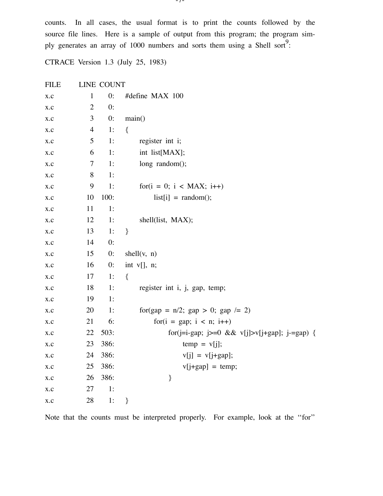counts. In all cases, the usual format is to print the counts followed by the source file lines. Here is a sample of output from this program; the program simply generates an array of 1000 numbers and sorts them using a Shell sort<sup>9</sup>:

CTRACE Version 1.3 (July 25, 1983)

| <b>FILE</b>             |                | LINE COUNT |                                               |
|-------------------------|----------------|------------|-----------------------------------------------|
| x.c                     | $\mathbf{1}$   | 0:         | #define MAX 100                               |
| X.C                     | $\overline{2}$ | 0:         |                                               |
| X.C                     | 3              | 0:         | main()                                        |
| $\mathbf{X}.\mathbf{C}$ | $\overline{4}$ | 1:         | $\{$                                          |
| X.C                     | 5              | 1:         | register int i;                               |
| X.C                     | 6              | 1:         | int list[MAX];                                |
| X.C                     | $\overline{7}$ | 1:         | long random();                                |
| X.C                     | $8\,$          | 1:         |                                               |
| X.C                     | 9              | 1:         | $for(i = 0; i < MAX; i++)$                    |
| X.C                     | 10             | 100:       | $list[i] = random();$                         |
| X.C                     | 11             | 1:         |                                               |
| X.C                     | 12             | 1:         | shell(list, MAX);                             |
| X.C                     | 13             | 1:         | $\}$                                          |
| X.C                     | 14             | 0:         |                                               |
| X.C                     | 15             | 0:         | shell(v, n)                                   |
| X.C                     | 16             | 0:         | int $v[]$ , n;                                |
| X.C                     | 17             | 1:         | $\{$                                          |
| x.c                     | 18             | 1:         | register int i, j, gap, temp;                 |
| X.C                     | 19             | 1:         |                                               |
| X.C                     | 20             | 1:         | for(gap = $n/2$ ; gap > 0; gap /= 2)          |
| X.C                     | 21             | 6:         | $for(i = gap; i < n; i++)$                    |
| X.C                     | 22             | 503:       | for(j=i-gap; j>=0 && v[j]>v[j+gap]; j-=gap) { |
| X.C                     | 23             | 386:       | $temp = v[j];$                                |
| x.c                     | 24             | 386:       | $v[j] = v[j+gap];$                            |
| X.C                     | 25             | 386:       | $v[j+gap] = temp;$                            |
| X.C                     | 26             | 386:       | }                                             |
| X.C                     | 27             | 1:         |                                               |
| X.C                     | 28             | 1:         | }                                             |

Note that the counts must be interpreted properly. For example, look at the ''for''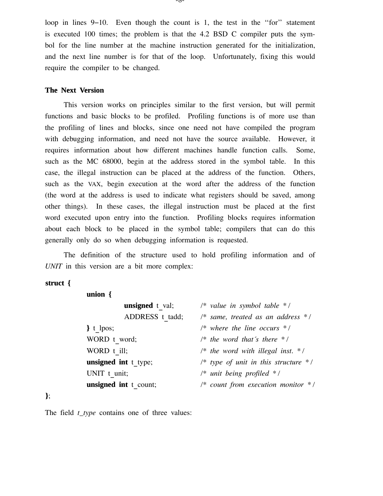loop in lines 9−10. Even though the count is 1, the test in the ''for'' statement is executed 100 times; the problem is that the 4.2 BSD C compiler puts the symbol for the line number at the machine instruction generated for the initialization, and the next line number is for that of the loop. Unfortunately, fixing this would require the compiler to be changed.

### **The Next Version**

This version works on principles similar to the first version, but will permit functions and basic blocks to be profiled. Profiling functions is of more use than the profiling of lines and blocks, since one need not have compiled the program with debugging information, and need not have the source available. However, it requires information about how different machines handle function calls. Some, such as the MC 68000, begin at the address stored in the symbol table. In this case, the illegal instruction can be placed at the address of the function. Others, such as the VAX, begin execution at the word after the address of the function (the word at the address is used to indicate what registers should be saved, among other things). In these cases, the illegal instruction must be placed at the first word executed upon entry into the function. Profiling blocks requires information about each block to be placed in the symbol table; compilers that can do this generally only do so when debugging information is requested.

The definition of the structure used to hold profiling information and of *UNIT* in this version are a bit more complex:

### **struct {**

**union {**

| <b>unsigned</b> t val; | $\frac{1}{2}$ value in symbol table $\frac{1}{2}$        |
|------------------------|----------------------------------------------------------|
| ADDRESS t tadd;        | $\frac{1}{2}$ same, treated as an address $\frac{1}{2}$  |
| $\}$ t lpos;           | $\frac{1}{2}$ where the line occurs $\frac{1}{2}$ /      |
| WORD t word;           | $\frac{1}{2}$ the word that's there $\frac{1}{2}$        |
| WORD t ill;            | /* the word with illegal inst. $*/$                      |
| unsigned int t type;   | /* type of unit in this structure $*$ /                  |
| UNIT t unit;           | $/*$ unit being profiled $*$ /                           |
| unsigned int t count;  | $\frac{1}{2}$ count from execution monitor $\frac{1}{2}$ |
|                        |                                                          |

**}**;

The field *t\_type* contains one of three values: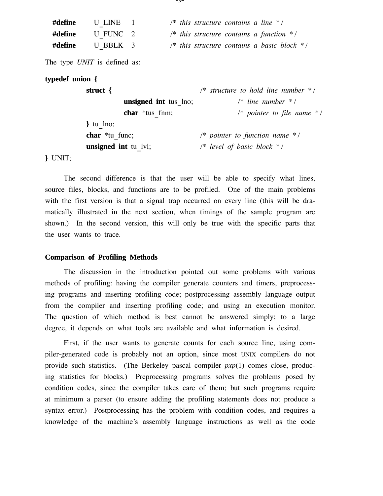| #define | U LINE   |  | /* this structure contains a line $*$ /                           |  |
|---------|----------|--|-------------------------------------------------------------------|--|
| #define | U FUNC 2 |  | /* this structure contains a function $*$ /                       |  |
| #define | U BBLK 3 |  | $\frac{1}{2}$ this structure contains a basic block $\frac{1}{2}$ |  |

The type *UNIT* is defined as:

### **typedef union {**

| struct $\{$                  | $\frac{1}{2}$ structure to hold line number $\frac{1}{2}$ |
|------------------------------|-----------------------------------------------------------|
| <b>unsigned</b> int tus lno; | $\frac{1}{2}$ line number $\frac{1}{2}$                   |
| <b>char</b> $*$ tus fnm;     | /* pointer to file name $*$ /                             |
| $\}$ tu lno;                 |                                                           |
| <b>char</b> $*$ tu func;     | /* pointer to function name $*$ /                         |
| <b>unsigned</b> int tu lvl;  | $/*$ level of basic block $*$ /                           |

**}** UNIT;

The second difference is that the user will be able to specify what lines, source files, blocks, and functions are to be profiled. One of the main problems with the first version is that a signal trap occurred on every line (this will be dramatically illustrated in the next section, when timings of the sample program are shown.) In the second version, this will only be true with the specific parts that the user wants to trace.

#### **Comparison of Profiling Methods**

The discussion in the introduction pointed out some problems with various methods of profiling: having the compiler generate counters and timers, preprocessing programs and inserting profiling code; postprocessing assembly language output from the compiler and inserting profiling code; and using an execution monitor. The question of which method is best cannot be answered simply; to a large degree, it depends on what tools are available and what information is desired.

First, if the user wants to generate counts for each source line, using compiler-generated code is probably not an option, since most UNIX compilers do not provide such statistics. (The Berkeley pascal compiler *pxp*(1) comes close, producing statistics for blocks.) Preprocessing programs solves the problems posed by condition codes, since the compiler takes care of them; but such programs require at minimum a parser (to ensure adding the profiling statements does not produce a syntax error.) Postprocessing has the problem with condition codes, and requires a knowledge of the machine's assembly language instructions as well as the code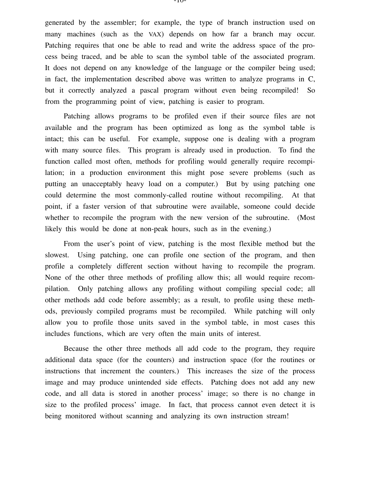generated by the assembler; for example, the type of branch instruction used on many machines (such as the VAX) depends on how far a branch may occur. Patching requires that one be able to read and write the address space of the process being traced, and be able to scan the symbol table of the associated program. It does not depend on any knowledge of the language or the compiler being used; in fact, the implementation described above was written to analyze programs in C, but it correctly analyzed a pascal program without even being recompiled! So from the programming point of view, patching is easier to program.

Patching allows programs to be profiled even if their source files are not available and the program has been optimized as long as the symbol table is intact; this can be useful. For example, suppose one is dealing with a program with many source files. This program is already used in production. To find the function called most often, methods for profiling would generally require recompilation; in a production environment this might pose severe problems (such as putting an unacceptably heavy load on a computer.) But by using patching one could determine the most commonly-called routine without recompiling. At that point, if a faster version of that subroutine were available, someone could decide whether to recompile the program with the new version of the subroutine. (Most likely this would be done at non-peak hours, such as in the evening.)

From the user's point of view, patching is the most flexible method but the slowest. Using patching, one can profile one section of the program, and then profile a completely different section without having to recompile the program. None of the other three methods of profiling allow this; all would require recompilation. Only patching allows any profiling without compiling special code; all other methods add code before assembly; as a result, to profile using these methods, previously compiled programs must be recompiled. While patching will only allow you to profile those units saved in the symbol table, in most cases this includes functions, which are very often the main units of interest.

Because the other three methods all add code to the program, they require additional data space (for the counters) and instruction space (for the routines or instructions that increment the counters.) This increases the size of the process image and may produce unintended side effects. Patching does not add any new code, and all data is stored in another process' image; so there is no change in size to the profiled process' image. In fact, that process cannot even detect it is being monitored without scanning and analyzing its own instruction stream!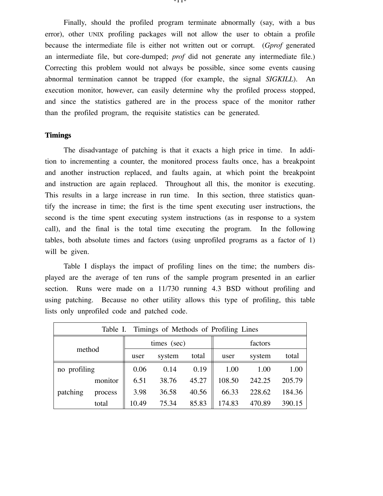Finally, should the profiled program terminate abnormally (say, with a bus error), other UNIX profiling packages will not allow the user to obtain a profile because the intermediate file is either not written out or corrupt. (*Gprof* generated an intermediate file, but core-dumped; *prof* did not generate any intermediate file.) Correcting this problem would not always be possible, since some events causing abnormal termination cannot be trapped (for example, the signal *SIGKILL*). An execution monitor, however, can easily determine why the profiled process stopped, and since the statistics gathered are in the process space of the monitor rather than the profiled program, the requisite statistics can be generated.

### **Timings**

The disadvantage of patching is that it exacts a high price in time. In addition to incrementing a counter, the monitored process faults once, has a breakpoint and another instruction replaced, and faults again, at which point the breakpoint and instruction are again replaced. Throughout all this, the monitor is executing. This results in a large increase in run time. In this section, three statistics quantify the increase in time; the first is the time spent executing user instructions, the second is the time spent executing system instructions (as in response to a system call), and the final is the total time executing the program. In the following tables, both absolute times and factors (using unprofiled programs as a factor of 1) will be given.

Table I displays the impact of profiling lines on the time; the numbers displayed are the average of ten runs of the sample program presented in an earlier section. Runs were made on a 11/730 running 4.3 BSD without profiling and using patching. Because no other utility allows this type of profiling, this table lists only unprofiled code and patched code.

| Table I. Timings of Methods of Profiling Lines |         |             |        |       |         |        |        |  |  |  |
|------------------------------------------------|---------|-------------|--------|-------|---------|--------|--------|--|--|--|
| method                                         |         | times (sec) |        |       | factors |        |        |  |  |  |
|                                                |         | user        | system | total | user    | system | total  |  |  |  |
| no profiling                                   |         | 0.06        | 0.14   | 0.19  | 1.00    | 1.00   | 1.00   |  |  |  |
|                                                | monitor | 6.51        | 38.76  | 45.27 | 108.50  | 242.25 | 205.79 |  |  |  |
| patching                                       | process | 3.98        | 36.58  | 40.56 | 66.33   | 228.62 | 184.36 |  |  |  |
|                                                | total   | 10.49       | 75.34  | 85.83 | 174.83  | 470.89 | 390.15 |  |  |  |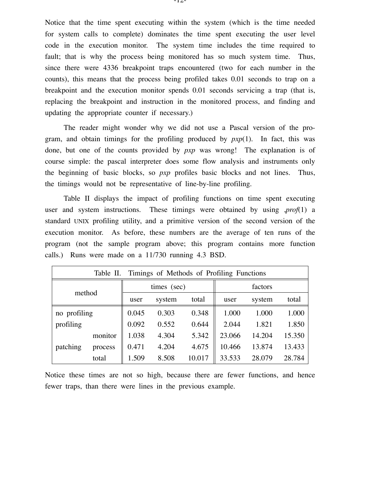Notice that the time spent executing within the system (which is the time needed for system calls to complete) dominates the time spent executing the user level code in the execution monitor. The system time includes the time required to fault; that is why the process being monitored has so much system time. Thus, since there were 4336 breakpoint traps encountered (two for each number in the counts), this means that the process being profiled takes 0.01 seconds to trap on a breakpoint and the execution monitor spends 0.01 seconds servicing a trap (that is, replacing the breakpoint and instruction in the monitored process, and finding and updating the appropriate counter if necessary.)

The reader might wonder why we did not use a Pascal version of the program, and obtain timings for the profiling produced by *pxp*(1). In fact, this was done, but one of the counts provided by *pxp* was wrong! The explanation is of course simple: the pascal interpreter does some flow analysis and instruments only the beginning of basic blocks, so *pxp* profiles basic blocks and not lines. Thus, the timings would not be representative of line-by-line profiling.

Table II displays the impact of profiling functions on time spent executing user and system instructions. These timings were obtained by using ,*prof*(1) a standard UNIX profiling utility, and a primitive version of the second version of the execution monitor. As before, these numbers are the average of ten runs of the program (not the sample program above; this program contains more function calls.) Runs were made on a 11/730 running 4.3 BSD.

| Table II. Timings of Methods of Profiling Functions |         |             |        |        |         |        |        |  |  |
|-----------------------------------------------------|---------|-------------|--------|--------|---------|--------|--------|--|--|
|                                                     |         | times (sec) |        |        | factors |        |        |  |  |
| method                                              |         | user        | system | total  | user    | system | total  |  |  |
| no profiling                                        |         | 0.045       | 0.303  | 0.348  | 1.000   | 1.000  | 1.000  |  |  |
| profiling                                           |         | 0.092       | 0.552  | 0.644  | 2.044   | 1.821  | 1.850  |  |  |
|                                                     | monitor | 1.038       | 4.304  | 5.342  | 23.066  | 14.204 | 15.350 |  |  |
| patching                                            | process | 0.471       | 4.204  | 4.675  | 10.466  | 13.874 | 13.433 |  |  |
|                                                     | total   | 1.509       | 8.508  | 10.017 | 33.533  | 28.079 | 28.784 |  |  |

Notice these times are not so high, because there are fewer functions, and hence fewer traps, than there were lines in the previous example.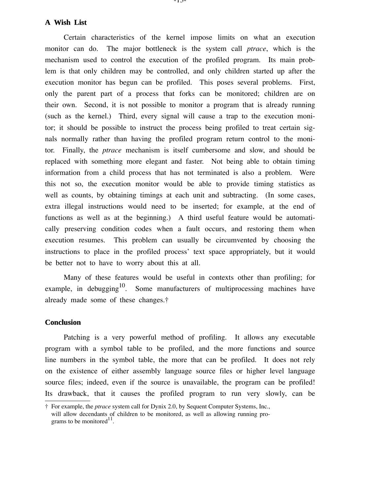### **A Wish List**

Certain characteristics of the kernel impose limits on what an execution monitor can do. The major bottleneck is the system call *ptrace*, which is the mechanism used to control the execution of the profiled program. Its main problem is that only children may be controlled, and only children started up after the execution monitor has begun can be profiled. This poses several problems. First, only the parent part of a process that forks can be monitored; children are on their own. Second, it is not possible to monitor a program that is already running (such as the kernel.) Third, every signal will cause a trap to the execution monitor; it should be possible to instruct the process being profiled to treat certain signals normally rather than having the profiled program return control to the monitor. Finally, the *ptrace* mechanism is itself cumbersome and slow, and should be replaced with something more elegant and faster. Not being able to obtain timing information from a child process that has not terminated is also a problem. Were this not so, the execution monitor would be able to provide timing statistics as well as counts, by obtaining timings at each unit and subtracting. (In some cases, extra illegal instructions would need to be inserted; for example, at the end of functions as well as at the beginning.) A third useful feature would be automatically preserving condition codes when a fault occurs, and restoring them when execution resumes. This problem can usually be circumvented by choosing the instructions to place in the profiled process' text space appropriately, but it would be better not to have to worry about this at all.

Many of these features would be useful in contexts other than profiling; for example, in debugging<sup>10</sup>. Some manufacturers of multiprocessing machines have already made some of these changes.†

#### **Conclusion**

Patching is a very powerful method of profiling. It allows any executable program with a symbol table to be profiled, and the more functions and source line numbers in the symbol table, the more that can be profiled. It does not rely on the existence of either assembly language source files or higher level language source files; indeed, even if the source is unavailable, the program can be profiled! Its drawback, that it causes the profiled program to run very slowly, can be

<sup>†</sup> For example, the *ptrace* system call for Dynix 2.0, by Sequent Computer Systems, Inc., will allow decendants of children to be monitored, as well as allowing running programs to be monitored<sup>11</sup>.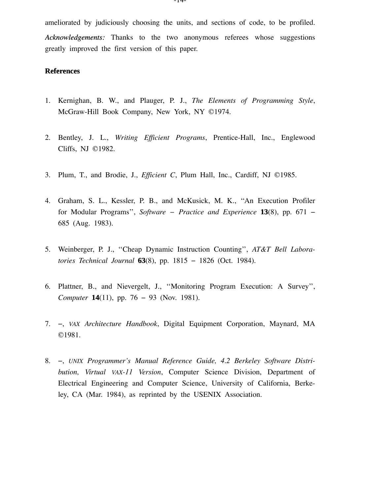ameliorated by judiciously choosing the units, and sections of code, to be profiled. *Acknowledgements:* Thanks to the two anonymous referees whose suggestions greatly improved the first version of this paper.

#### **Refer ences**

- 1. Kernighan, B. W., and Plauger, P. J., *The Elements of Programming Style*, McGraw-Hill Book Company, New York, NY ©1974.
- 2. Bentley, J. L., *Writing Efficient Programs*, Prentice-Hall, Inc., Englewood Cliffs, NJ ©1982.
- 3. Plum, T., and Brodie, J., *Efficient C*, Plum Hall, Inc., Cardiff, NJ ©1985.
- 4. Graham, S. L., Kessler, P. B., and McKusick, M. K., ''An Execution Profiler for Modular Programs'', *Software − Practice and Experience* **13**(8), pp. 671 − 685 (Aug. 1983).
- 5. Weinberger, P. J., ''Cheap Dynamic Instruction Counting'', *AT&T Bell Laboratories Technical Journal* **63**(8), pp. 1815 − 1826 (Oct. 1984).
- 6. Plattner, B., and Nievergelt, J., ''Monitoring Program Execution: A Survey'', *Computer* **14**(11), pp. 76 − 93 (Nov. 1981).
- 7. −, *VAX Architecture Handbook*, Digital Equipment Corporation, Maynard, MA ©1981.
- 8. −, *UNIX Programmer's Manual Reference Guide, 4.2 Berkeley Software Distribution, Virtual VAX-11 Version*, Computer Science Division, Department of Electrical Engineering and Computer Science, University of California, Berkeley, CA (Mar. 1984), as reprinted by the USENIX Association.